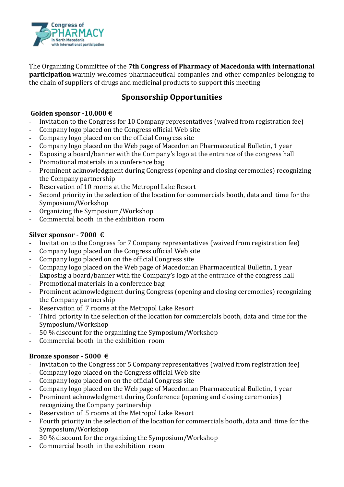

The Organizing Committee of the **7th Congress of Pharmacy of Macedonia with international participation** warmly welcomes pharmaceutical companies and other companies belonging to the chain of suppliers of drugs and medicinal products to support this meeting

## **Sponsorship Opportunities**

### **Golden sponsor -10,000 €**

- Invitation to the Congress for 10 Company representatives (waived from registration fee)
- Company logo placed on the Congress official Web site
- Company logo placed on on the official Congress site
- Company logo placed on the Web page of Macedonian Pharmaceutical Bulletin, 1 year
- Exposing a board/banner with the Company's logo at the entrance of the congress hall
- Promotional materials in a conference bag
- Prominent acknowledgment during Congress (opening and closing ceremonies) recognizing the Company partnership
- Reservation of 10 rooms at the Metropol Lake Resort
- Second priority in the selection of the location for commercials booth, data and time for the Symposium/Workshop
- Organizing the Symposium/Workshop
- Commercial booth in the exhibition room

## **Silver sponsor - 7000 €**

- Invitation to the Congress for 7 Company representatives (waived from registration fee)
- Company logo placed on the Congress official Web site
- Company logo placed on on the official Congress site
- Company logo placed on the Web page of Macedonian Pharmaceutical Bulletin, 1 year
- Exposing a board/banner with the Company's logo at the entrance of the congress hall
- Promotional materials in a conference bag
- Prominent acknowledgment during Congress (opening and closing ceremonies) recognizing the Company partnership
- Reservation of 7 rooms at the Metropol Lake Resort
- Third priority in the selection of the location for commercials booth, data and time for the Symposium/Workshop
- 50 % discount for the organizing the Symposium/Workshop
- Commercial booth in the exhibition room

## **Bronze sponsor - 5000 €**

- Invitation to the Congress for 5 Company representatives (waived from registration fee)
- Company logo placed on the Congress official Web site
- Company logo placed on on the official Congress site
- Company logo placed on the Web page of Macedonian Pharmaceutical Bulletin, 1 year
- Prominent acknowledgment during Conference (opening and closing ceremonies) recognizing the Company partnership
- Reservation of 5 rooms at the Metropol Lake Resort
- Fourth priority in the selection of the location for commercials booth, data and time for the Symposium/Workshop
- 30 % discount for the organizing the Symposium/Workshop
- Commercial booth in the exhibition room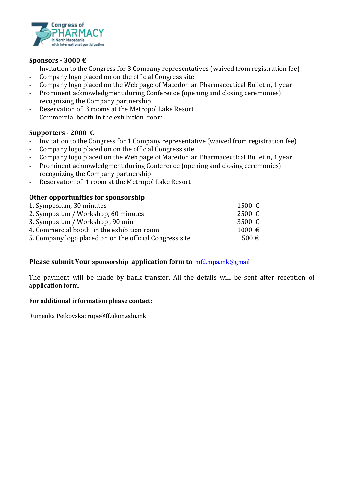

#### **Sponsors - 3000 €**

- Invitation to the Congress for 3 Company representatives (waived from registration fee)
- Company logo placed on on the official Congress site
- Company logo placed on the Web page of Macedonian Pharmaceutical Bulletin, 1 year
- Prominent acknowledgment during Conference (opening and closing ceremonies) recognizing the Company partnership
- Reservation of 3 rooms at the Metropol Lake Resort
- Commercial booth in the exhibition room

#### **Supporters - 2000 €**

- Invitation to the Congress for 1 Company representative (waived from registration fee)
- Company logo placed on on the official Congress site
- Company logo placed on the Web page of Macedonian Pharmaceutical Bulletin, 1 year
- Prominent acknowledgment during Conference (opening and closing ceremonies) recognizing the Company partnership
- Reservation of 1 room at the Metropol Lake Resort

#### **Other opportunities for sponsorship**

| 1. Symposium, 30 minutes                                | $1500 \text{ } \in$ |
|---------------------------------------------------------|---------------------|
| 2. Symposium / Workshop, 60 minutes                     | $2500 \text{ } \in$ |
| 3. Symposium / Workshop, 90 min                         | 3500 $\epsilon$     |
| 4. Commercial booth in the exhibition room              | $1000 \text{ } \in$ |
| 5. Company logo placed on on the official Congress site | $500 \text{ } \in$  |
|                                                         |                     |

#### **Please submit Your sponsorship application form to** [mfd.mpa.mk@gmail](mailto:mfd.mpa.mk@gmail)

The payment will be made by bank transfer. All the details will be sent after reception of application form.

#### **For additional information please contact:**

Rumenka Petkovska: rupe@ff.ukim.edu.mk